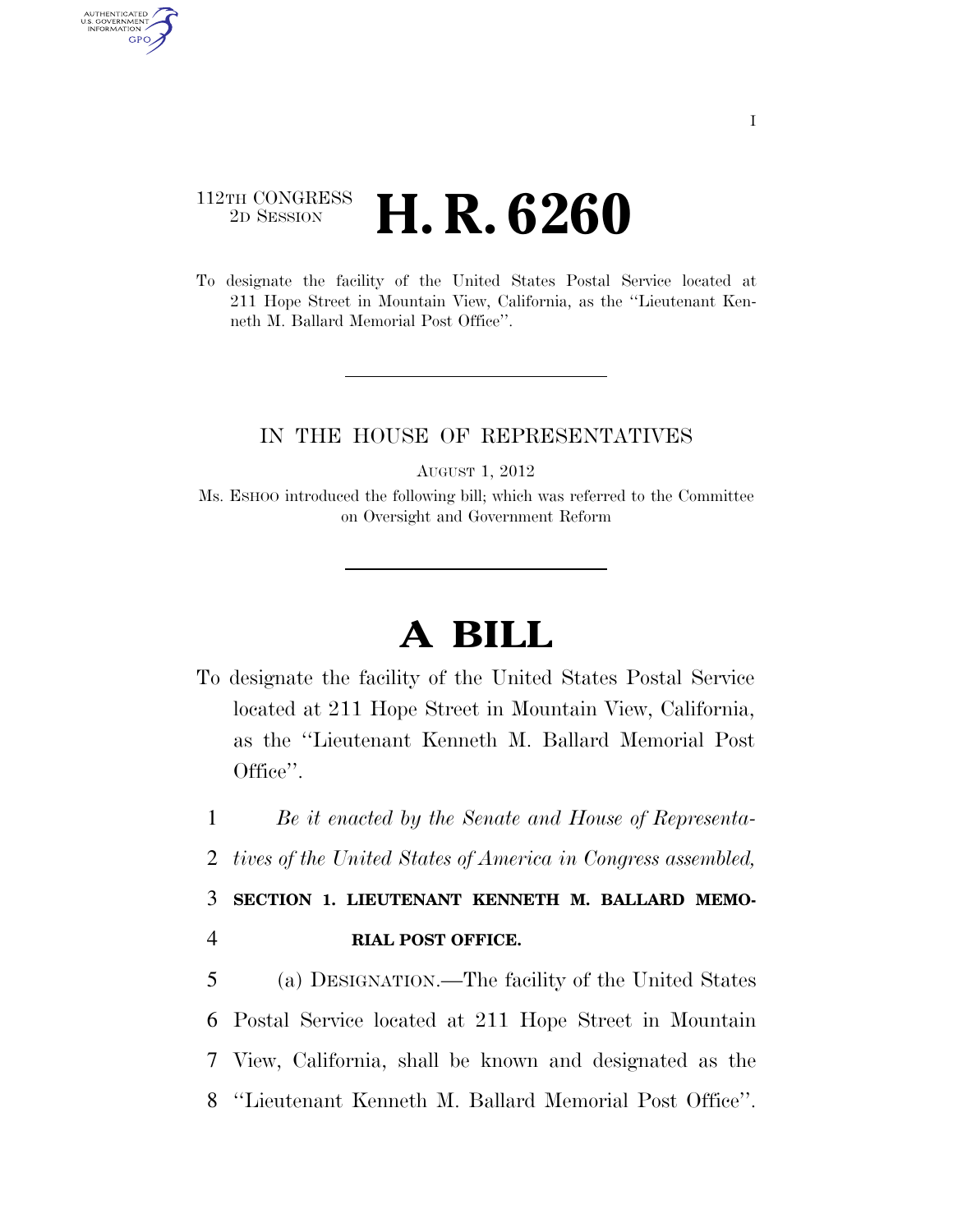## 112TH CONGRESS <sup>2D SESSION</sup> **H. R. 6260**

AUTHENTICATED U.S. GOVERNMENT GPO

> To designate the facility of the United States Postal Service located at 211 Hope Street in Mountain View, California, as the ''Lieutenant Kenneth M. Ballard Memorial Post Office''.

## IN THE HOUSE OF REPRESENTATIVES

AUGUST 1, 2012

Ms. ESHOO introduced the following bill; which was referred to the Committee on Oversight and Government Reform

## **A BILL**

To designate the facility of the United States Postal Service located at 211 Hope Street in Mountain View, California, as the ''Lieutenant Kenneth M. Ballard Memorial Post Office''.

1 *Be it enacted by the Senate and House of Representa-*

2 *tives of the United States of America in Congress assembled,* 

3 **SECTION 1. LIEUTENANT KENNETH M. BALLARD MEMO-**4 **RIAL POST OFFICE.** 

 (a) DESIGNATION.—The facility of the United States Postal Service located at 211 Hope Street in Mountain View, California, shall be known and designated as the ''Lieutenant Kenneth M. Ballard Memorial Post Office''.